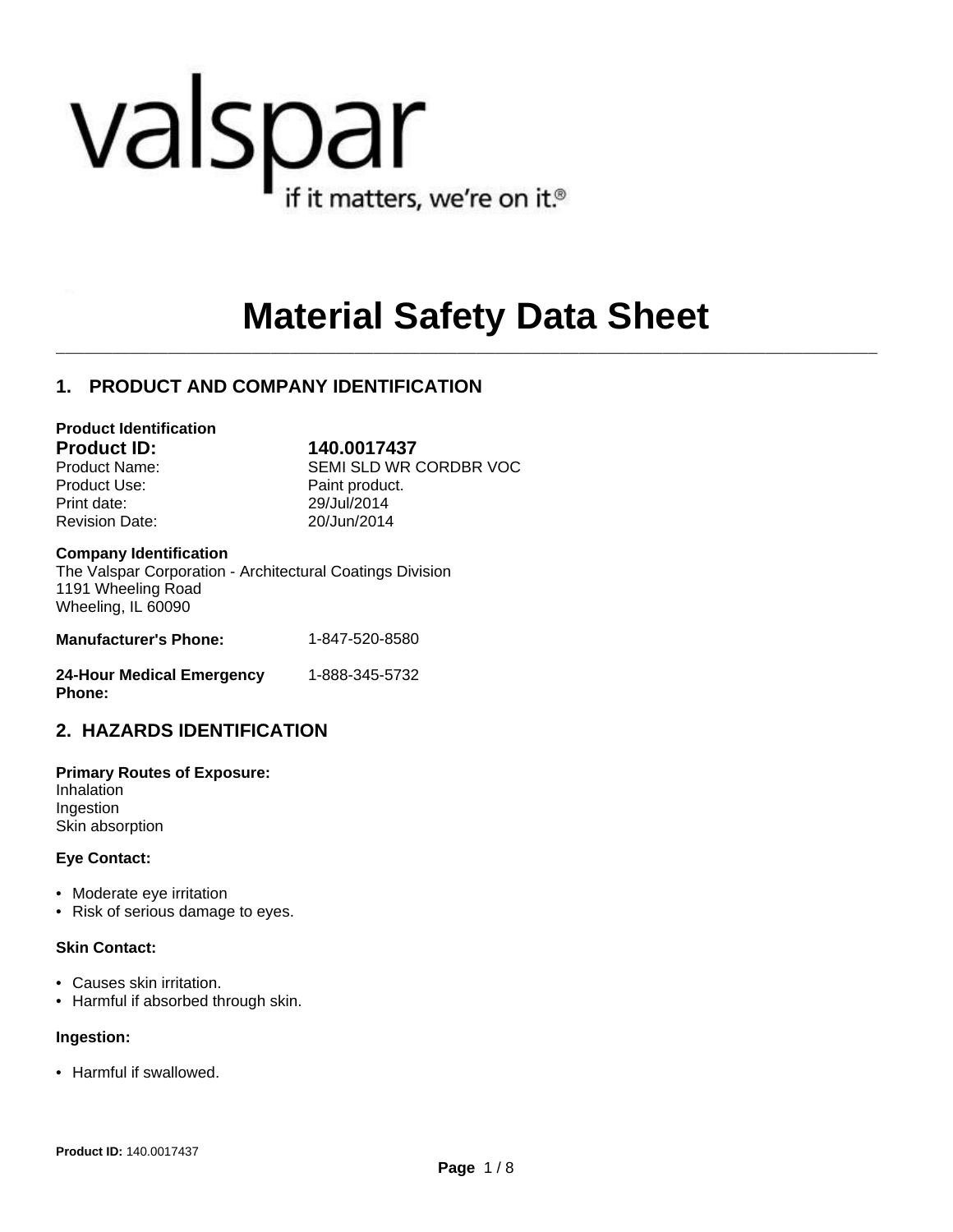# valspar if it matters, we're on it.<sup>®</sup>

## **Material Safety Data Sheet**

 $\mathcal{L}_\mathcal{L} = \mathcal{L}_\mathcal{L}$ 

#### **1. PRODUCT AND COMPANY IDENTIFICATION**

#### **Product Identification**

**Product ID: 140.0017437**

Product Use: Product Paint product. Print date: 29/Jul/2014 Revision Date: 20/Jun/2014

Product Name: SEMI SLD WR CORDBR VOC

#### **Company Identification**

The Valspar Corporation - Architectural Coatings Division 1191 Wheeling Road Wheeling, IL 60090

| <b>Manufacturer's Phone:</b> | 1-847-520-8580 |
|------------------------------|----------------|
|                              |                |

| <b>24-Hour Medical Emergency</b> | 1-888-345-5732 |  |
|----------------------------------|----------------|--|
| <b>Phone:</b>                    |                |  |

#### **2. HAZARDS IDENTIFICATION**

**Primary Routes of Exposure:** Inhalation Ingestion Skin absorption

#### **Eye Contact:**

- Moderate eye irritation
- Risk of serious damage to eyes.

#### **Skin Contact:**

- Causes skin irritation.
- Harmful if absorbed through skin.

#### **Ingestion:**

• Harmful if swallowed.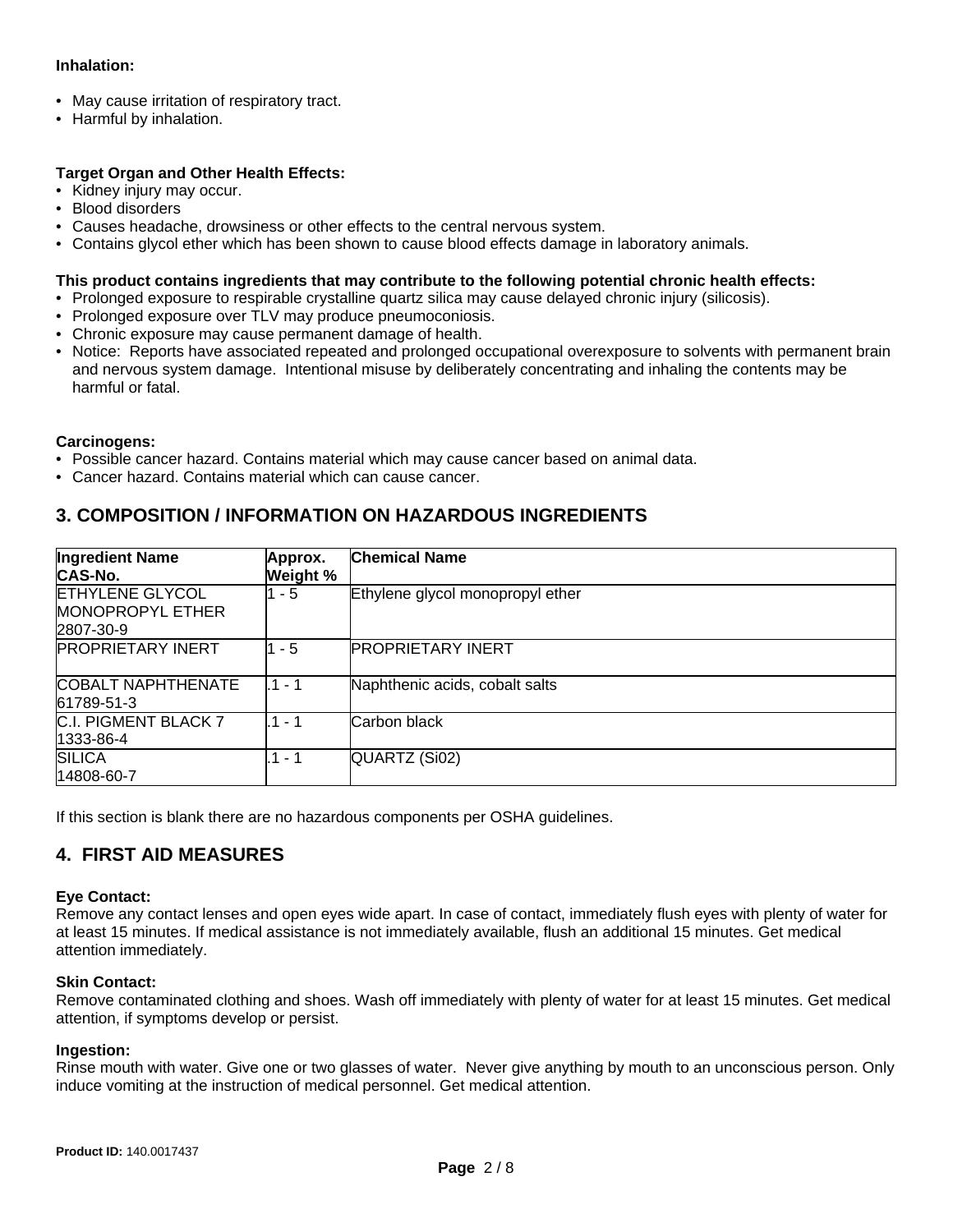#### **Inhalation:**

- May cause irritation of respiratory tract.
- Harmful by inhalation.

#### **Target Organ and Other Health Effects:**

- Kidney injury may occur.
- Blood disorders
- Causes headache, drowsiness or other effects to the central nervous system.
- Contains glycol ether which has been shown to cause blood effects damage in laboratory animals.

#### **This product contains ingredients that may contribute to the following potential chronic health effects:**

- Prolonged exposure to respirable crystalline quartz silica may cause delayed chronic injury (silicosis).
- Prolonged exposure over TLV may produce pneumoconiosis.
- Chronic exposure may cause permanent damage of health.
- Notice: Reports have associated repeated and prolonged occupational overexposure to solvents with permanent brain and nervous system damage. Intentional misuse by deliberately concentrating and inhaling the contents may be harmful or fatal.

#### **Carcinogens:**

- Possible cancer hazard. Contains material which may cause cancer based on animal data.
- Cancer hazard. Contains material which can cause cancer.

#### **3. COMPOSITION / INFORMATION ON HAZARDOUS INGREDIENTS**

| <b>Ingredient Name</b><br>CAS-No.                              | Approx.<br>Weight % | <b>Chemical Name</b>             |
|----------------------------------------------------------------|---------------------|----------------------------------|
| <b>ETHYLENE GLYCOL</b><br><b>MONOPROPYL ETHER</b><br>2807-30-9 | $1 - 5$             | Ethylene glycol monopropyl ether |
| <b>PROPRIETARY INERT</b>                                       | $1 - 5$             | <b>PROPRIETARY INERT</b>         |
| <b>COBALT NAPHTHENATE</b><br>61789-51-3                        | .1 - 1              | Naphthenic acids, cobalt salts   |
| C.I. PIGMENT BLACK 7<br>1333-86-4                              | $1 - 1$             | Carbon black                     |
| <b>SILICA</b><br>14808-60-7                                    | .1 - 1              | QUARTZ (Si02)                    |

If this section is blank there are no hazardous components per OSHA guidelines.

#### **4. FIRST AID MEASURES**

#### **Eye Contact:**

Remove any contact lenses and open eyes wide apart. In case of contact, immediately flush eyes with plenty of water for at least 15 minutes. If medical assistance is not immediately available, flush an additional 15 minutes. Get medical attention immediately.

#### **Skin Contact:**

Remove contaminated clothing and shoes. Wash off immediately with plenty of water for at least 15 minutes. Get medical attention, if symptoms develop or persist.

#### **Ingestion:**

Rinse mouth with water. Give one or two glasses of water. Never give anything by mouth to an unconscious person. Only induce vomiting at the instruction of medical personnel. Get medical attention.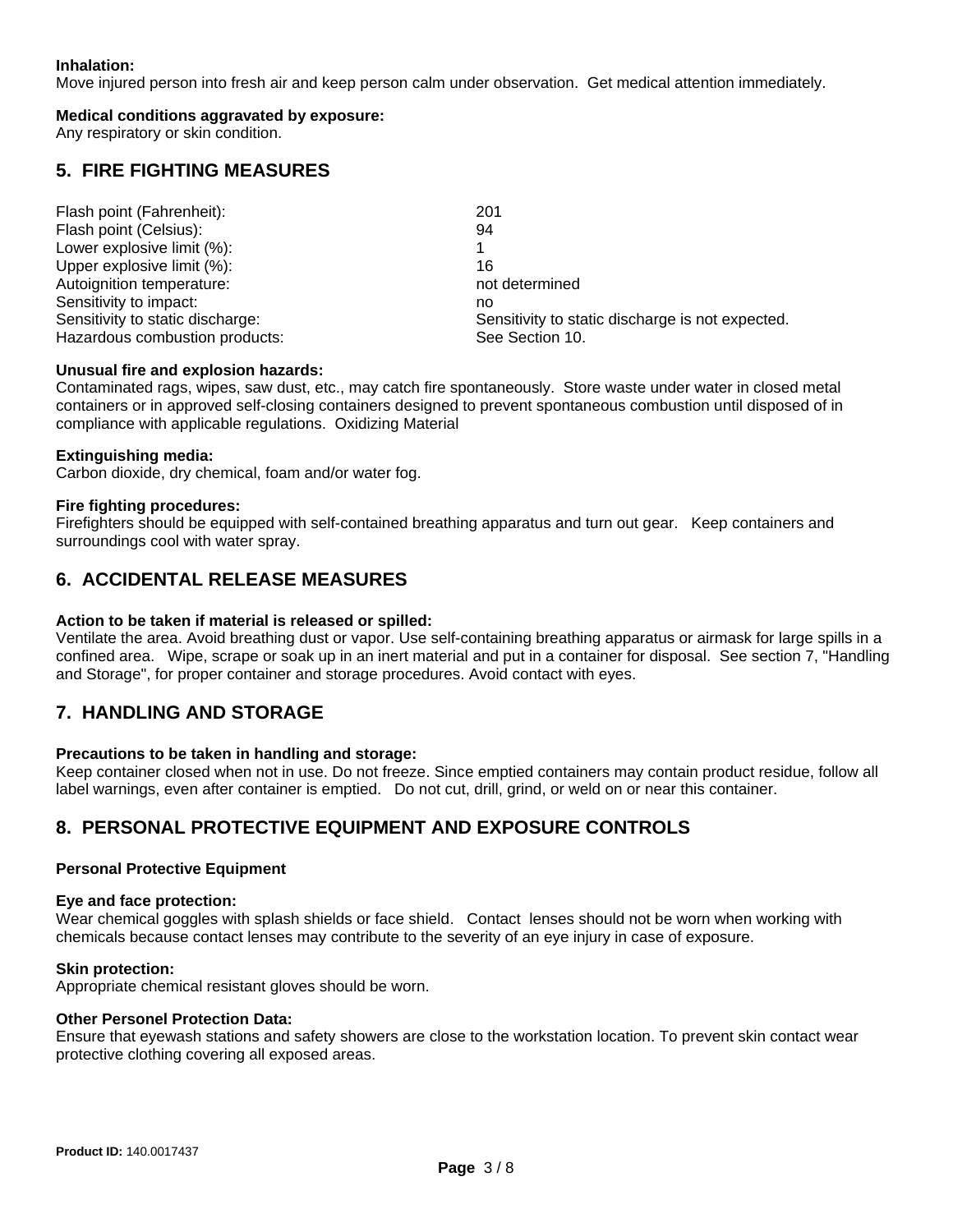#### **Inhalation:**

Move injured person into fresh air and keep person calm under observation. Get medical attention immediately.

#### **Medical conditions aggravated by exposure:**

Any respiratory or skin condition.

#### **5. FIRE FIGHTING MEASURES**

| Flash point (Fahrenheit):        | 201                                              |
|----------------------------------|--------------------------------------------------|
| Flash point (Celsius):           | 94                                               |
| Lower explosive limit (%):       |                                                  |
| Upper explosive limit (%):       | 16                                               |
| Autoignition temperature:        | not determined                                   |
| Sensitivity to impact:           | no                                               |
| Sensitivity to static discharge: | Sensitivity to static discharge is not expected. |
| Hazardous combustion products:   | See Section 10.                                  |

#### **Unusual fire and explosion hazards:**

Contaminated rags, wipes, saw dust, etc., may catch fire spontaneously. Store waste under water in closed metal containers or in approved self-closing containers designed to prevent spontaneous combustion until disposed of in compliance with applicable regulations. Oxidizing Material

#### **Extinguishing media:**

Carbon dioxide, dry chemical, foam and/or water fog.

#### **Fire fighting procedures:**

Firefighters should be equipped with self-contained breathing apparatus and turn out gear. Keep containers and surroundings cool with water spray.

#### **6. ACCIDENTAL RELEASE MEASURES**

#### **Action to be taken if material is released or spilled:**

Ventilate the area. Avoid breathing dust or vapor. Use self-containing breathing apparatus or airmask for large spills in a confined area. Wipe, scrape or soak up in an inert material and put in a container for disposal. See section 7, "Handling and Storage", for proper container and storage procedures. Avoid contact with eyes.

#### **7. HANDLING AND STORAGE**

#### **Precautions to be taken in handling and storage:**

Keep container closed when not in use. Do not freeze. Since emptied containers may contain product residue, follow all label warnings, even after container is emptied. Do not cut, drill, grind, or weld on or near this container.

#### **8. PERSONAL PROTECTIVE EQUIPMENT AND EXPOSURE CONTROLS**

#### **Personal Protective Equipment**

#### **Eye and face protection:**

Wear chemical goggles with splash shields or face shield. Contact lenses should not be worn when working with chemicals because contact lenses may contribute to the severity of an eye injury in case of exposure.

#### **Skin protection:**

Appropriate chemical resistant gloves should be worn.

#### **Other Personel Protection Data:**

Ensure that eyewash stations and safety showers are close to the workstation location. To prevent skin contact wear protective clothing covering all exposed areas.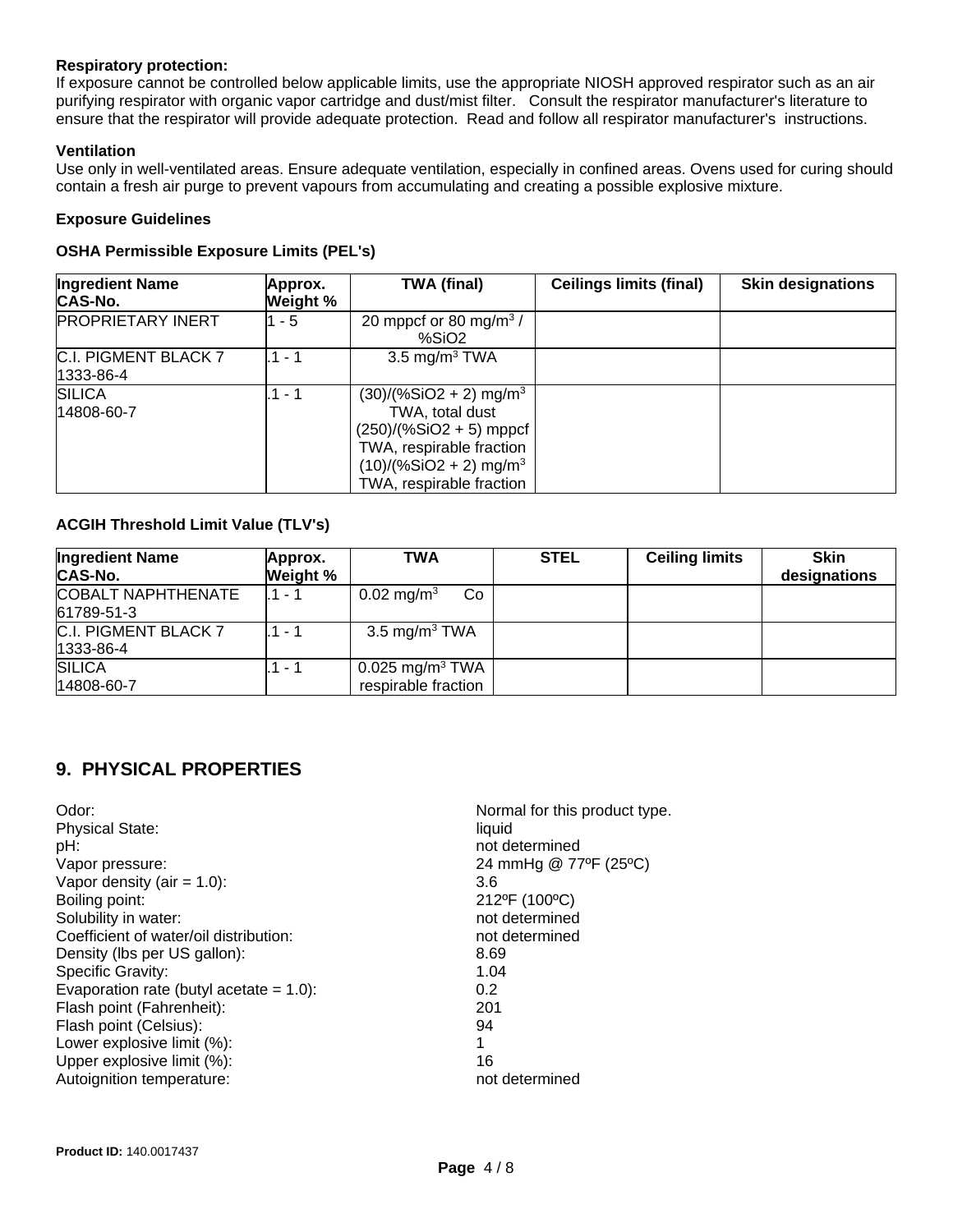#### **Respiratory protection:**

If exposure cannot be controlled below applicable limits, use the appropriate NIOSH approved respirator such as an air purifying respirator with organic vapor cartridge and dust/mist filter. Consult the respirator manufacturer's literature to ensure that the respirator will provide adequate protection. Read and follow all respirator manufacturer's instructions.

#### **Ventilation**

Use only in well-ventilated areas. Ensure adequate ventilation, especially in confined areas. Ovens used for curing should contain a fresh air purge to prevent vapours from accumulating and creating a possible explosive mixture.

#### **Exposure Guidelines**

#### **OSHA Permissible Exposure Limits (PEL's)**

| <b>Ingredient Name</b><br><b>CAS-No.</b> | Approx.<br>Weight % | <b>TWA (final)</b>                                                                                                                                                                    | <b>Ceilings limits (final)</b> | <b>Skin designations</b> |
|------------------------------------------|---------------------|---------------------------------------------------------------------------------------------------------------------------------------------------------------------------------------|--------------------------------|--------------------------|
| <b>PROPRIETARY INERT</b>                 | $1 - 5$             | 20 mppcf or 80 mg/m <sup>3</sup> /<br>%SiO2                                                                                                                                           |                                |                          |
| C.I. PIGMENT BLACK 7<br>1333-86-4        | .1 - 1              | 3.5 mg/m <sup>3</sup> TWA                                                                                                                                                             |                                |                          |
| <b>SILICA</b><br>14808-60-7              | .1 - 1              | $(30)/(%SiO2 + 2)$ mg/m <sup>3</sup><br>TWA, total dust<br>$(250)/(%SiO2 + 5)$ mppcf<br>TWA, respirable fraction<br>$(10)/($ %SiO2 + 2) mg/m <sup>3</sup><br>TWA, respirable fraction |                                |                          |

#### **ACGIH Threshold Limit Value (TLV's)**

| <b>Ingredient Name</b><br>CAS-No.       | Approx.<br>Weight % | <b>TWA</b>                                           | <b>STEL</b> | <b>Ceiling limits</b> | <b>Skin</b><br>designations |
|-----------------------------------------|---------------------|------------------------------------------------------|-------------|-----------------------|-----------------------------|
| <b>COBALT NAPHTHENATE</b><br>61789-51-3 | .1 - 1              | 0.02 mg/m <sup>3</sup><br>Co                         |             |                       |                             |
| C.I. PIGMENT BLACK 7<br>1333-86-4       | .1 - 1              | 3.5 mg/m <sup>3</sup> TWA                            |             |                       |                             |
| <b>SILICA</b><br>14808-60-7             | .1 - 1              | $0.025$ mg/m <sup>3</sup> TWA<br>respirable fraction |             |                       |                             |

### **9. PHYSICAL PROPERTIES**

| Odor:                                      | Normal for this product type. |
|--------------------------------------------|-------------------------------|
| <b>Physical State:</b>                     | liquid                        |
| pH:                                        | not determined                |
| Vapor pressure:                            | 24 mmHg @ 77°F (25°C)         |
| Vapor density (air = $1.0$ ):              | 3.6                           |
| Boiling point:                             | 212°F (100°C)                 |
| Solubility in water:                       | not determined                |
| Coefficient of water/oil distribution:     | not determined                |
| Density (lbs per US gallon):               | 8.69                          |
| Specific Gravity:                          | 1.04                          |
| Evaporation rate (butyl acetate $= 1.0$ ): | 0.2                           |
| Flash point (Fahrenheit):                  | 201                           |
| Flash point (Celsius):                     | 94                            |
| Lower explosive limit (%):                 | 1                             |
| Upper explosive limit (%):                 | 16                            |
| Autoignition temperature:                  | not determined                |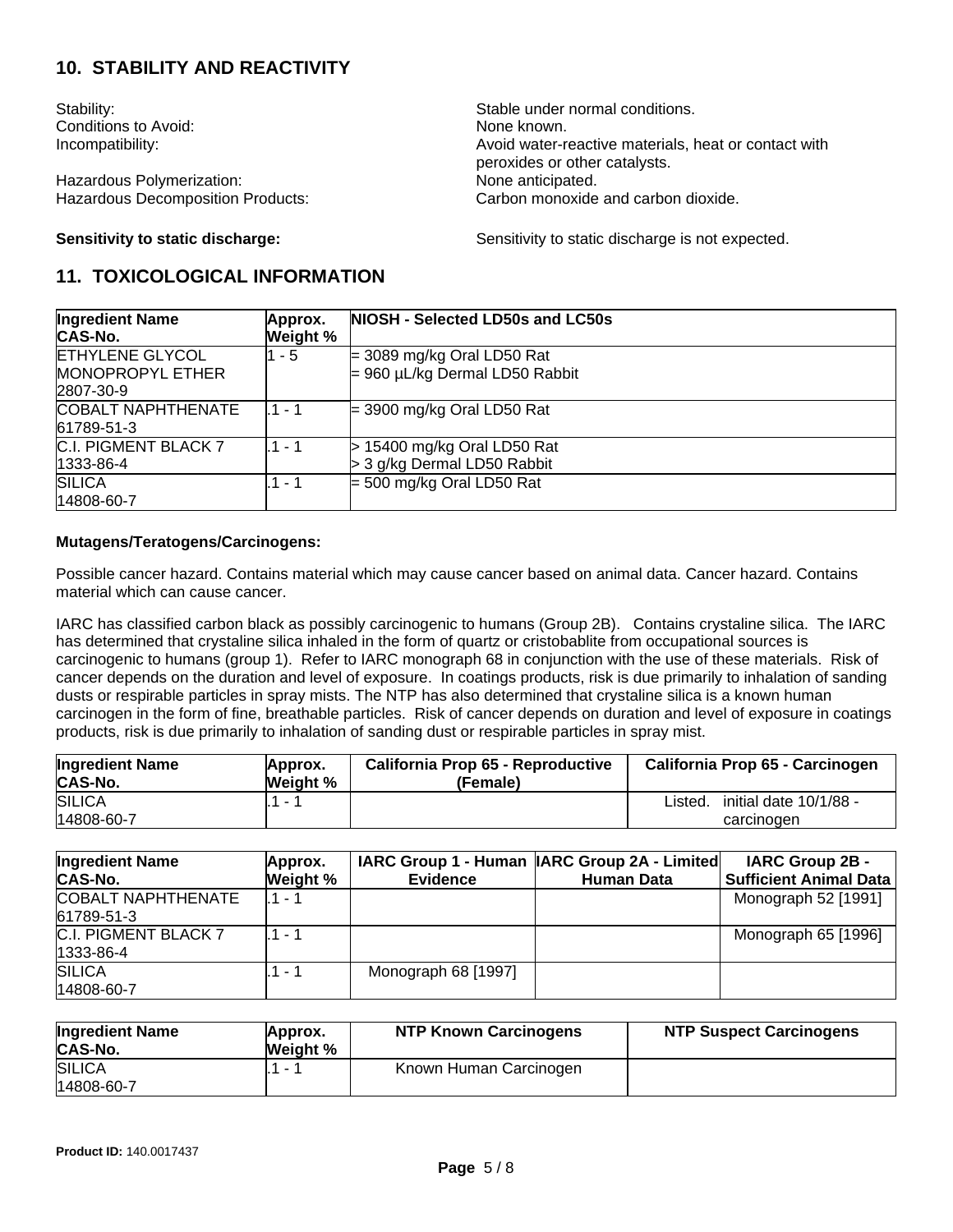#### **10. STABILITY AND REACTIVITY**

Conditions to Avoid: None known.

Hazardous Polymerization: Hazardous Decomposition Products: Carbon monoxide and carbon dioxide.

Stability: Stability: Stable under normal conditions. Incompatibility: Incompatibility: Incompatibility: Avoid water-reactive materials, heat or contact with peroxides or other catalysts.<br>None anticipated.

**Sensitivity to static discharge:** Sensitivity to static discharge is not expected.

#### **11. TOXICOLOGICAL INFORMATION**

| <b>Ingredient Name</b>    | Approx.  | NIOSH - Selected LD50s and LC50s    |
|---------------------------|----------|-------------------------------------|
| <b>CAS-No.</b>            | Weight % |                                     |
| <b>ETHYLENE GLYCOL</b>    | 1 - 5    | $=$ 3089 mg/kg Oral LD50 Rat        |
| <b>MONOPROPYL ETHER</b>   |          | $= 960 \mu L/kg$ Dermal LD50 Rabbit |
| 2807-30-9                 |          |                                     |
| <b>COBALT NAPHTHENATE</b> | l.1 - 1  | $=$ 3900 mg/kg Oral LD50 Rat        |
| 61789-51-3                |          |                                     |
| C.I. PIGMENT BLACK 7      | .1 - 1   | $>$ 15400 mg/kg Oral LD50 Rat       |
| 1333-86-4                 |          | > 3 g/kg Dermal LD50 Rabbit         |
| <b>SILICA</b>             | .1 - 1   | $=$ 500 mg/kg Oral LD50 Rat         |
| 14808-60-7                |          |                                     |

#### **Mutagens/Teratogens/Carcinogens:**

Possible cancer hazard. Contains material which may cause cancer based on animal data. Cancer hazard. Contains material which can cause cancer.

IARC has classified carbon black as possibly carcinogenic to humans (Group 2B). Contains crystaline silica. The IARC has determined that crystaline silica inhaled in the form of quartz or cristobablite from occupational sources is carcinogenic to humans (group 1). Refer to IARC monograph 68 in conjunction with the use of these materials. Risk of cancer depends on the duration and level of exposure. In coatings products, risk is due primarily to inhalation of sanding dusts or respirable particles in spray mists. The NTP has also determined that crystaline silica is a known human carcinogen in the form of fine, breathable particles. Risk of cancer depends on duration and level of exposure in coatings products, risk is due primarily to inhalation of sanding dust or respirable particles in spray mist.

| <b>Ingredient Name</b><br>CAS-No. | Approx.<br><b>Weight %</b> | California Prop 65 - Reproductive<br>(Female) | California Prop 65 - Carcinogen   |
|-----------------------------------|----------------------------|-----------------------------------------------|-----------------------------------|
| <b>SILICA</b>                     |                            |                                               | initial date 10/1/88 -<br>Listed. |
| 14808-60-7                        |                            |                                               | carcinogen                        |

| <b>Ingredient Name</b><br><b>CAS-No.</b> | Approx.<br>Weight % | <b>Evidence</b>     | IARC Group 1 - Human   IARC Group 2A - Limited <br><b>Human Data</b> | <b>IARC Group 2B -</b><br><b>Sufficient Animal Data</b> |
|------------------------------------------|---------------------|---------------------|----------------------------------------------------------------------|---------------------------------------------------------|
| <b>COBALT NAPHTHENATE</b><br>61789-51-3  | . 1 - 1             |                     |                                                                      | Monograph 52 [1991]                                     |
| C.I. PIGMENT BLACK 7<br>1333-86-4        | $.1 - 1$            |                     |                                                                      | Monograph 65 [1996]                                     |
| <b>SILICA</b><br>14808-60-7              | .1 - 1              | Monograph 68 [1997] |                                                                      |                                                         |

| <b>Ingredient Name</b><br>CAS-No. | Approx.<br>Weight % | <b>NTP Known Carcinogens</b> | <b>NTP Suspect Carcinogens</b> |
|-----------------------------------|---------------------|------------------------------|--------------------------------|
| <b>SILICA</b>                     |                     | Known Human Carcinogen       |                                |
| 14808-60-7                        |                     |                              |                                |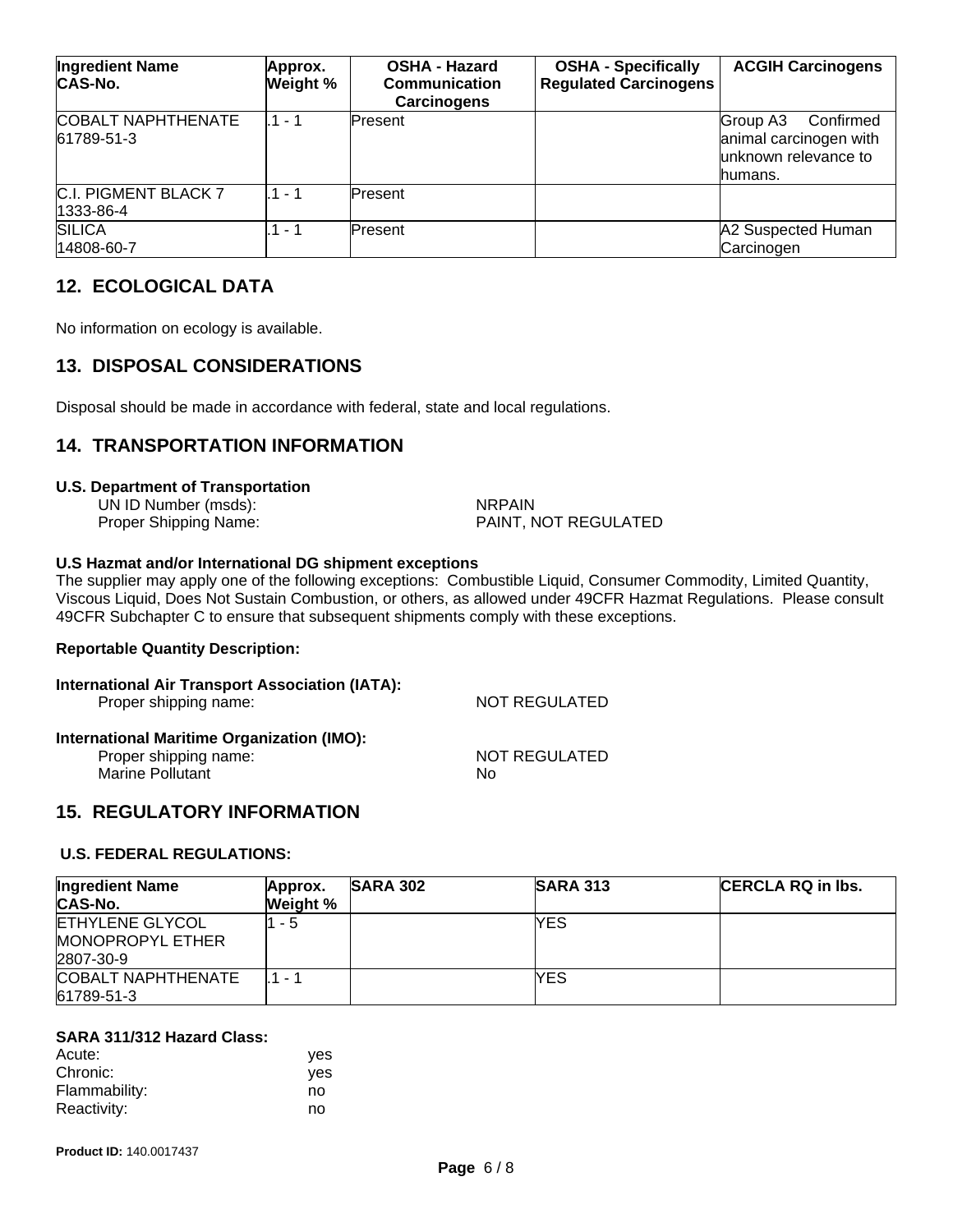| <b>Ingredient Name</b><br>CAS-No.       | Approx.<br>Weight % | <b>OSHA - Hazard</b><br>Communication<br><b>Carcinogens</b> | <b>OSHA - Specifically</b><br><b>Regulated Carcinogens</b> | <b>ACGIH Carcinogens</b>                                                            |
|-----------------------------------------|---------------------|-------------------------------------------------------------|------------------------------------------------------------|-------------------------------------------------------------------------------------|
| <b>COBALT NAPHTHENATE</b><br>61789-51-3 | l 1 - 1             | lPresent                                                    |                                                            | Confirmed<br>Group A3<br>animal carcinogen with<br>lunknown relevance to<br>humans. |
| C.I. PIGMENT BLACK 7<br>1333-86-4       | $1 - 1$             | Present                                                     |                                                            |                                                                                     |
| <b>SILICA</b><br>14808-60-7             | 1 - 1               | Present                                                     |                                                            | A2 Suspected Human<br>Carcinogen                                                    |

#### **12. ECOLOGICAL DATA**

No information on ecology is available.

#### **13. DISPOSAL CONSIDERATIONS**

Disposal should be made in accordance with federal, state and local regulations.

#### **14. TRANSPORTATION INFORMATION**

#### **U.S. Department of Transportation**

UN ID Number (msds): NRPAIN

Proper Shipping Name: PAINT, NOT REGULATED

#### **U.S Hazmat and/or International DG shipment exceptions**

The supplier may apply one of the following exceptions: Combustible Liquid, Consumer Commodity, Limited Quantity, Viscous Liquid, Does Not Sustain Combustion, or others, as allowed under 49CFR Hazmat Regulations. Please consult 49CFR Subchapter C to ensure that subsequent shipments comply with these exceptions.

#### **Reportable Quantity Description:**

| International Air Transport Association (IATA):<br>Proper shipping name:                | NOT REGULATED       |
|-----------------------------------------------------------------------------------------|---------------------|
| International Maritime Organization (IMO):<br>Proper shipping name:<br>Marine Pollutant | NOT REGULATED<br>Nο |

#### **15. REGULATORY INFORMATION**

#### **U.S. FEDERAL REGULATIONS:**

| <b>Ingredient Name</b><br><b>CAS-No.</b>                       | Approx.<br>Weight % | <b>SARA 302</b> | <b>SARA 313</b> | CERCLA RQ in Ibs. |
|----------------------------------------------------------------|---------------------|-----------------|-----------------|-------------------|
| <b>ETHYLENE GLYCOL</b><br><b>MONOPROPYL ETHER</b><br>2807-30-9 | 1 - 5               |                 | YES             |                   |
| <b>COBALT NAPHTHENATE</b><br>61789-51-3                        | 1 - 1               |                 | YES             |                   |

#### **SARA 311/312 Hazard Class:**

| Acute:        | ves |
|---------------|-----|
| Chronic:      | ves |
| Flammability: | no  |
| Reactivity:   | no  |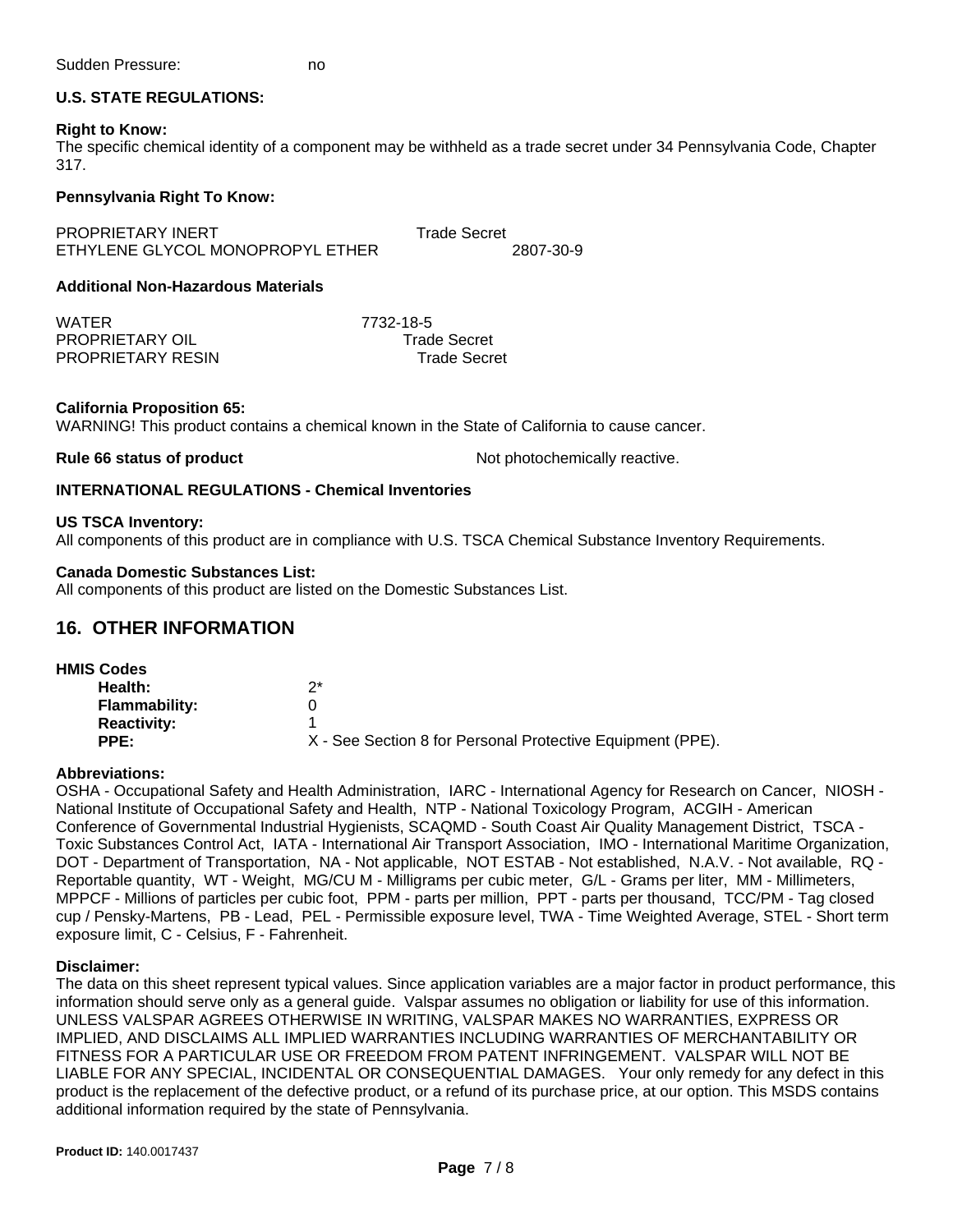#### **U.S. STATE REGULATIONS:**

#### **Right to Know:**

The specific chemical identity of a component may be withheld as a trade secret under 34 Pennsylvania Code, Chapter 317.

#### **Pennsylvania Right To Know:**

PROPRIETARY INERT TRADE Trade Secret ETHYLENE GLYCOL MONOPROPYL ETHER 2807-30-9

#### **Additional Non-Hazardous Materials**

WATER 7732-18-5 PROPRIETARY OIL Trade Secret PROPRIETARY RESIN Trade Secret

#### **California Proposition 65:**

WARNING! This product contains a chemical known in the State of California to cause cancer.

**Rule 66 status of product Not photochemically reactive.** 

#### **INTERNATIONAL REGULATIONS - Chemical Inventories**

#### **US TSCA Inventory:**

All components of this product are in compliance with U.S. TSCA Chemical Substance Inventory Requirements.

#### **Canada Domestic Substances List:**

All components of this product are listed on the Domestic Substances List.

#### **16. OTHER INFORMATION**

| <b>HMIS Codes</b>    |                                                            |
|----------------------|------------------------------------------------------------|
| Health:              | っ*                                                         |
| <b>Flammability:</b> |                                                            |
| <b>Reactivity:</b>   |                                                            |
| PPE:                 | X - See Section 8 for Personal Protective Equipment (PPE). |
|                      |                                                            |

#### **Abbreviations:**

OSHA - Occupational Safety and Health Administration, IARC - International Agency for Research on Cancer, NIOSH - National Institute of Occupational Safety and Health, NTP - National Toxicology Program, ACGIH - American Conference of Governmental Industrial Hygienists, SCAQMD - South Coast Air Quality Management District, TSCA - Toxic Substances Control Act, IATA - International Air Transport Association, IMO - International Maritime Organization, DOT - Department of Transportation, NA - Not applicable, NOT ESTAB - Not established, N.A.V. - Not available, RQ - Reportable quantity, WT - Weight, MG/CU M - Milligrams per cubic meter, G/L - Grams per liter, MM - Millimeters, MPPCF - Millions of particles per cubic foot, PPM - parts per million, PPT - parts per thousand, TCC/PM - Tag closed cup / Pensky-Martens, PB - Lead, PEL - Permissible exposure level, TWA - Time Weighted Average, STEL - Short term exposure limit, C - Celsius, F - Fahrenheit.

#### **Disclaimer:**

The data on this sheet represent typical values. Since application variables are a major factor in product performance, this information should serve only as a general guide. Valspar assumes no obligation or liability for use of this information. UNLESS VALSPAR AGREES OTHERWISE IN WRITING, VALSPAR MAKES NO WARRANTIES, EXPRESS OR IMPLIED, AND DISCLAIMS ALL IMPLIED WARRANTIES INCLUDING WARRANTIES OF MERCHANTABILITY OR FITNESS FOR A PARTICULAR USE OR FREEDOM FROM PATENT INFRINGEMENT. VALSPAR WILL NOT BE LIABLE FOR ANY SPECIAL, INCIDENTAL OR CONSEQUENTIAL DAMAGES. Your only remedy for any defect in this product is the replacement of the defective product, or a refund of its purchase price, at our option. This MSDS contains additional information required by the state of Pennsylvania.